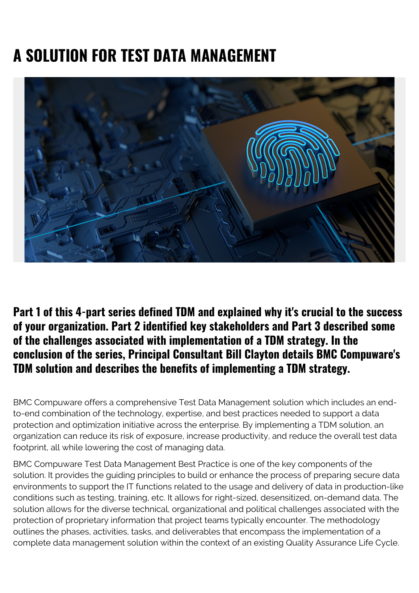# **A SOLUTION FOR TEST DATA MANAGEMENT**



**Part 1 of this 4-part series defined TDM and explained why it's crucial to the success of your organization. Part 2 identified key stakeholders and Part 3 described some of the challenges associated with implementation of a TDM strategy. In the conclusion of the series, Principal Consultant Bill Clayton details BMC Compuware's TDM solution and describes the benefits of implementing a TDM strategy.**

BMC Compuware offers a comprehensive Test Data Management solution which includes an endto-end combination of the technology, expertise, and best practices needed to support a data protection and optimization initiative across the enterprise. By implementing a TDM solution, an organization can reduce its risk of exposure, increase productivity, and reduce the overall test data footprint, all while lowering the cost of managing data.

BMC Compuware Test Data Management Best Practice is one of the key components of the solution. It provides the guiding principles to build or enhance the process of preparing secure data environments to support the IT functions related to the usage and delivery of data in production-like conditions such as testing, training, etc. It allows for right-sized, desensitized, on-demand data. The solution allows for the diverse technical, organizational and political challenges associated with the protection of proprietary information that project teams typically encounter. The methodology outlines the phases, activities, tasks, and deliverables that encompass the implementation of a complete data management solution within the context of an existing Quality Assurance Life Cycle.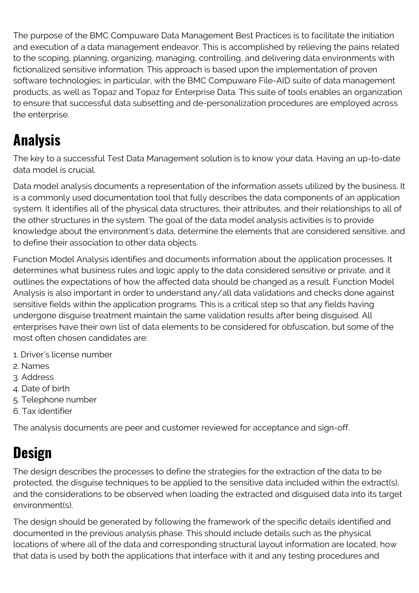The purpose of the BMC Compuware Data Management Best Practices is to facilitate the initiation and execution of a data management endeavor. This is accomplished by relieving the pains related to the scoping, planning, organizing, managing, controlling, and delivering data environments with fictionalized sensitive information. This approach is based upon the implementation of proven software technologies; in particular, with the BMC Compuware File-AID suite of data management products, as well as Topaz and Topaz for Enterprise Data. This suite of tools enables an organization to ensure that successful data subsetting and de-personalization procedures are employed across the enterprise.

## **Analysis**

The key to a successful Test Data Management solution is to know your data. Having an up-to-date data model is crucial.

Data model analysis documents a representation of the information assets utilized by the business. It is a commonly used documentation tool that fully describes the data components of an application system. It identifies all of the physical data structures, their attributes, and their relationships to all of the other structures in the system. The goal of the data model analysis activities is to provide knowledge about the environment's data, determine the elements that are considered sensitive, and to define their association to other data objects.

Function Model Analysis identifies and documents information about the application processes. It determines what business rules and logic apply to the data considered sensitive or private, and it outlines the expectations of how the affected data should be changed as a result. Function Model Analysis is also important in order to understand any/all data validations and checks done against sensitive fields within the application programs. This is a critical step so that any fields having undergone disguise treatment maintain the same validation results after being disguised. All enterprises have their own list of data elements to be considered for obfuscation, but some of the most often chosen candidates are:

- 1. Driver's license number
- 2. Names
- 3. Address
- 4. Date of birth
- 5. Telephone number
- 6. Tax identifier

The analysis documents are peer and customer reviewed for acceptance and sign-off.

# **Design**

The design describes the processes to define the strategies for the extraction of the data to be protected, the disguise techniques to be applied to the sensitive data included within the extract(s), and the considerations to be observed when loading the extracted and disguised data into its target environment(s).

The design should be generated by following the framework of the specific details identified and documented in the previous analysis phase. This should include details such as the physical locations of where all of the data and corresponding structural layout information are located, how that data is used by both the applications that interface with it and any testing procedures and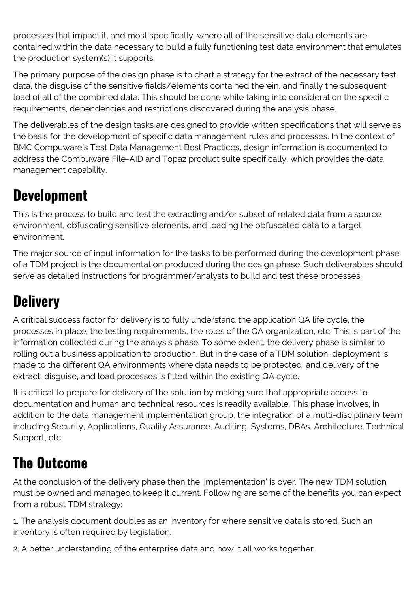processes that impact it, and most specifically, where all of the sensitive data elements are contained within the data necessary to build a fully functioning test data environment that emulates the production system(s) it supports.

The primary purpose of the design phase is to chart a strategy for the extract of the necessary test data, the disguise of the sensitive fields/elements contained therein, and finally the subsequent load of all of the combined data. This should be done while taking into consideration the specific requirements, dependencies and restrictions discovered during the analysis phase.

The deliverables of the design tasks are designed to provide written specifications that will serve as the basis for the development of specific data management rules and processes. In the context of BMC Compuware's Test Data Management Best Practices, design information is documented to address the Compuware File-AID and Topaz product suite specifically, which provides the data management capability.

#### **Development**

This is the process to build and test the extracting and/or subset of related data from a source environment, obfuscating sensitive elements, and loading the obfuscated data to a target environment.

The major source of input information for the tasks to be performed during the development phase of a TDM project is the documentation produced during the design phase. Such deliverables should serve as detailed instructions for programmer/analysts to build and test these processes.

# **Delivery**

A critical success factor for delivery is to fully understand the application QA life cycle, the processes in place, the testing requirements, the roles of the QA organization, etc. This is part of the information collected during the analysis phase. To some extent, the delivery phase is similar to rolling out a business application to production. But in the case of a TDM solution, deployment is made to the different QA environments where data needs to be protected, and delivery of the extract, disguise, and load processes is fitted within the existing QA cycle.

It is critical to prepare for delivery of the solution by making sure that appropriate access to documentation and human and technical resources is readily available. This phase involves, in addition to the data management implementation group, the integration of a multi-disciplinary team including Security, Applications, Quality Assurance, Auditing, Systems, DBAs, Architecture, Technical Support, etc.

## **The Outcome**

At the conclusion of the delivery phase then the 'implementation' is over. The new TDM solution must be owned and managed to keep it current. Following are some of the benefits you can expect from a robust TDM strategy:

1. The analysis document doubles as an inventory for where sensitive data is stored. Such an inventory is often required by legislation.

2. A better understanding of the enterprise data and how it all works together.